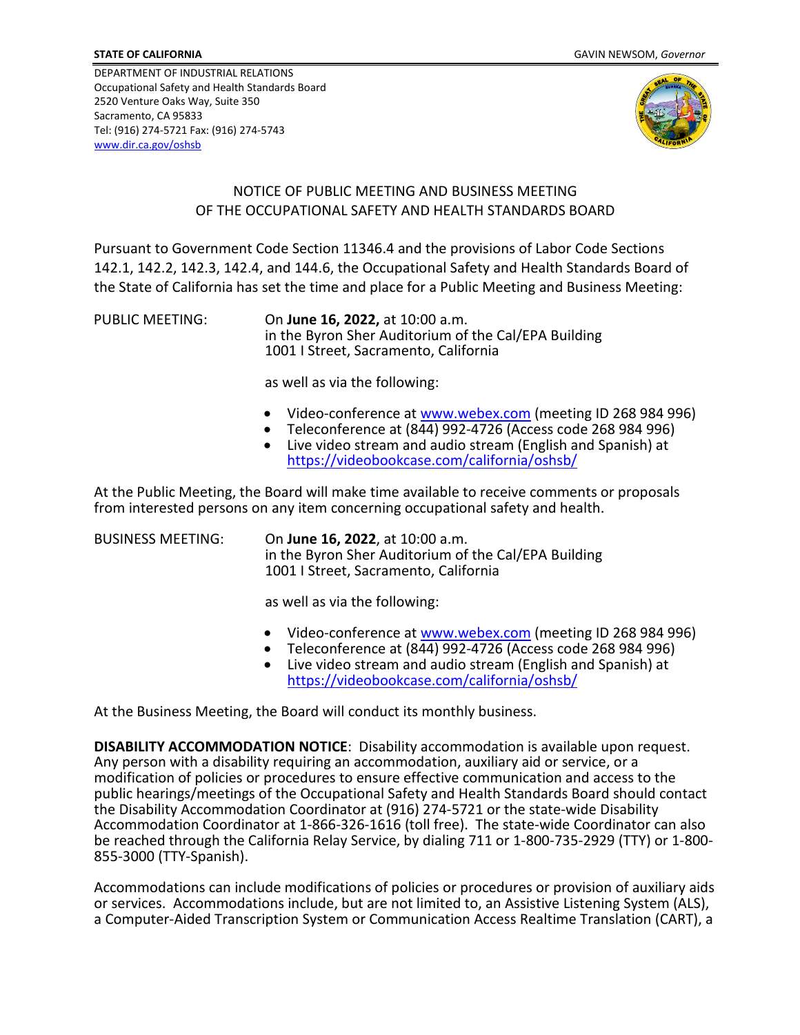DEPARTMENT OF INDUSTRIAL RELATIONS Occupational Safety and Health Standards Board 2520 Venture Oaks Way, Suite 350 Sacramento, CA 95833 Tel: (916) 274-5721 Fax: (916) 274-5743 [www.dir.ca.gov/oshsb](http://www.dir.ca.gov/oshsb) 



## NOTICE OF PUBLIC MEETING AND BUSINESS MEETING OF THE OCCUPATIONAL SAFETY AND HEALTH STANDARDS BOARD

Pursuant to Government Code Section 11346.4 and the provisions of Labor Code Sections 142.1, 142.2, 142.3, 142.4, and 144.6, the Occupational Safety and Health Standards Board of the State of California has set the time and place for a Public Meeting and Business Meeting:

PUBLIC MEETING: On **June 16, 2022,** at 10:00 a.m. in the Byron Sher Auditorium of the Cal/EPA Building 1001 I Street, Sacramento, California

as well as via the following:

- Video-conference at [www.webex.com](https://www.webex.com/) (meeting ID 268 984 996)<br>Teleconference at (844) 992-4726 (Access code 268 984 996)
- 
- Live video stream and audio stream (English and Spanish) at <https://videobookcase.com/california/oshsb/>

At the Public Meeting, the Board will make time available to receive comments or proposals from interested persons on any item concerning occupational safety and health.

BUSINESS MEETING: On **June 16, 2022**, at 10:00 a.m. in the Byron Sher Auditorium of the Cal/EPA Building 1001 I Street, Sacramento, California

as well as via the following:

- Video-conference at [www.webex.com](https://www.webex.com/) (meeting ID 268 984 996)
- Teleconference at  $(8\overline{44})$  992-4726 (Access code 268 984 996)
- Live video stream and audio stream (English and Spanish) at <https://videobookcase.com/california/oshsb/>

At the Business Meeting, the Board will conduct its monthly business.

**DISABILITY ACCOMMODATION NOTICE**: Disability accommodation is available upon request.<br>Any person with a disability requiring an accommodation, auxiliary aid or service, or a modification of policies or procedures to ensure effective communication and access to the public hearings/meetings of the Occupational Safety and Health Standards Board should contact the Disability Accommodation Coordinator at (916) 274-5721 or the state-wide Disability Accommodation Coordinator at 1-866-326-1616 (toll free). The state-wide Coordinator can also be reached through the California Relay Service, by dialing 711 or 1-800-735-2929 (TTY) or 1-800- 855-3000 (TTY-Spanish).

Accommodations can include modifications of policies or procedures or provision of auxiliary aids or services. Accommodations include, but are not limited to, an Assistive Listening System (ALS), a Computer-Aided Transcription System or Communication Access Realtime Translation (CART), a